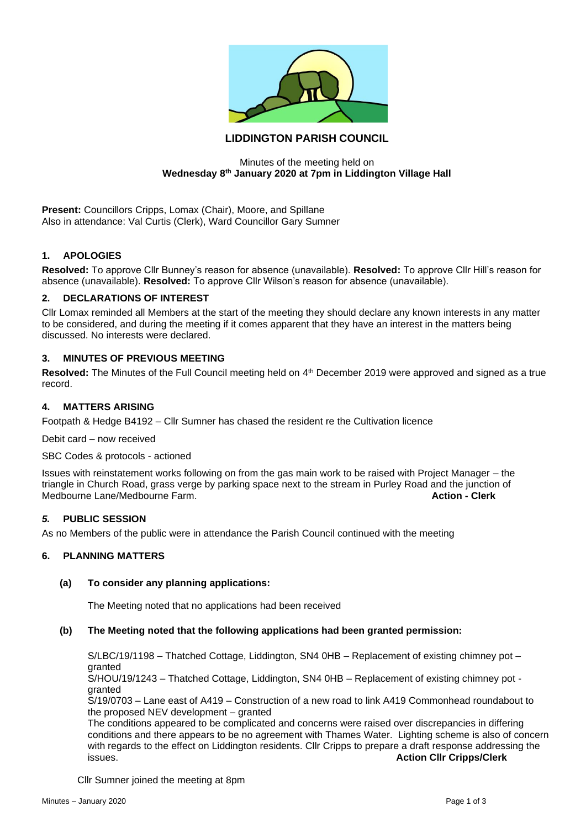

# **LIDDINGTON PARISH COUNCIL**

### Minutes of the meeting held on **Wednesday 8th January 2020 at 7pm in Liddington Village Hall**

**Present:** Councillors Cripps, Lomax (Chair), Moore, and Spillane Also in attendance: Val Curtis (Clerk), Ward Councillor Gary Sumner

# **1. APOLOGIES**

**Resolved:** To approve Cllr Bunney's reason for absence (unavailable). **Resolved:** To approve Cllr Hill's reason for absence (unavailable). **Resolved:** To approve Cllr Wilson's reason for absence (unavailable).

### **2. DECLARATIONS OF INTEREST**

Cllr Lomax reminded all Members at the start of the meeting they should declare any known interests in any matter to be considered, and during the meeting if it comes apparent that they have an interest in the matters being discussed. No interests were declared.

# **3. MINUTES OF PREVIOUS MEETING**

Resolved: The Minutes of the Full Council meeting held on 4<sup>th</sup> December 2019 were approved and signed as a true record.

### **4. MATTERS ARISING**

Footpath & Hedge B4192 – Cllr Sumner has chased the resident re the Cultivation licence

Debit card – now received

#### SBC Codes & protocols - actioned

Issues with reinstatement works following on from the gas main work to be raised with Project Manager – the triangle in Church Road, grass verge by parking space next to the stream in Purley Road and the junction of Medbourne Lane/Medbourne Farm. **Action - Clerk**

### *5.* **PUBLIC SESSION**

As no Members of the public were in attendance the Parish Council continued with the meeting

### **6. PLANNING MATTERS**

#### **(a) To consider any planning applications:**

The Meeting noted that no applications had been received

#### **(b) The Meeting noted that the following applications had been granted permission:**

S/LBC/19/1198 – Thatched Cottage, Liddington, SN4 0HB – Replacement of existing chimney pot – granted

S/HOU/19/1243 – Thatched Cottage, Liddington, SN4 0HB – Replacement of existing chimney pot granted

S/19/0703 – Lane east of A419 – Construction of a new road to link A419 Commonhead roundabout to the proposed NEV development – granted

The conditions appeared to be complicated and concerns were raised over discrepancies in differing conditions and there appears to be no agreement with Thames Water. Lighting scheme is also of concern with regards to the effect on Liddington residents. Cllr Cripps to prepare a draft response addressing the issues.<br>**Action Cllr Cripps/Clerk Action Cllr Cripps/Clerk** 

Cllr Sumner joined the meeting at 8pm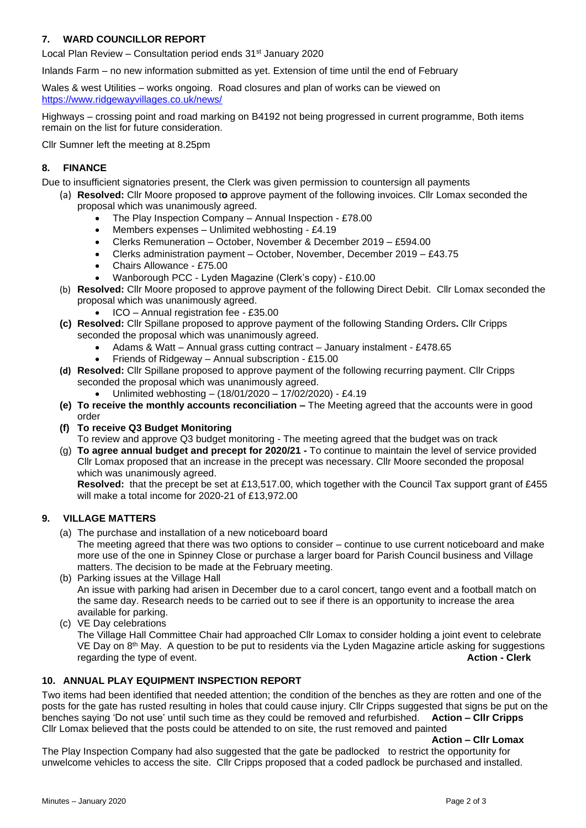# **7. WARD COUNCILLOR REPORT**

Local Plan Review – Consultation period ends  $31<sup>st</sup>$  January 2020

Inlands Farm – no new information submitted as yet. Extension of time until the end of February

Wales & west Utilities – works ongoing. Road closures and plan of works can be viewed on <https://www.ridgewayvillages.co.uk/news/>

Highways – crossing point and road marking on B4192 not being progressed in current programme, Both items remain on the list for future consideration.

Cllr Sumner left the meeting at 8.25pm

# **8. FINANCE**

Due to insufficient signatories present, the Clerk was given permission to countersign all payments

- (a) **Resolved:** Cllr Moore proposed t**o** approve payment of the following invoices. Cllr Lomax seconded the proposal which was unanimously agreed.
	- The Play Inspection Company Annual Inspection £78.00
	- Members expenses Unlimited webhosting £4.19
	- Clerks Remuneration October, November & December 2019 £594.00
	- Clerks administration payment October, November, December 2019 £43.75
	- Chairs Allowance £75.00
	- Wanborough PCC Lyden Magazine (Clerk's copy) £10.00
	- (b) **Resolved:** Cllr Moore proposed to approve payment of the following Direct Debit. Cllr Lomax seconded the proposal which was unanimously agreed.
		- ICO Annual registration fee £35.00
	- **(c) Resolved:** Cllr Spillane proposed to approve payment of the following Standing Orders**.** Cllr Cripps seconded the proposal which was unanimously agreed.
		- Adams & Watt Annual grass cutting contract January instalment £478.65
		- Friends of Ridgeway Annual subscription £15.00
	- **(d) Resolved:** Cllr Spillane proposed to approve payment of the following recurring payment. Cllr Cripps seconded the proposal which was unanimously agreed.
		- Unlimited webhosting (18/01/2020 17/02/2020) £4.19
	- **(e) To receive the monthly accounts reconciliation –** The Meeting agreed that the accounts were in good order
	- **(f) To receive Q3 Budget Monitoring**

To review and approve Q3 budget monitoring - The meeting agreed that the budget was on track

(g) **To agree annual budget and precept for 2020/21 -** To continue to maintain the level of service provided Cllr Lomax proposed that an increase in the precept was necessary. Cllr Moore seconded the proposal which was unanimously agreed.

**Resolved:** that the precept be set at £13,517.00, which together with the Council Tax support grant of £455 will make a total income for 2020-21 of £13,972.00

# **9. VILLAGE MATTERS**

- (a) The purchase and installation of a new noticeboard board
	- The meeting agreed that there was two options to consider continue to use current noticeboard and make more use of the one in Spinney Close or purchase a larger board for Parish Council business and Village matters. The decision to be made at the February meeting.
- (b) Parking issues at the Village Hall An issue with parking had arisen in December due to a carol concert, tango event and a football match on the same day. Research needs to be carried out to see if there is an opportunity to increase the area available for parking.
- (c) VE Day celebrations

The Village Hall Committee Chair had approached Cllr Lomax to consider holding a joint event to celebrate VE Day on 8<sup>th</sup> May. A question to be put to residents via the Lyden Magazine article asking for suggestions regarding the type of event. **Action - Clerk**

# **10. ANNUAL PLAY EQUIPMENT INSPECTION REPORT**

Two items had been identified that needed attention; the condition of the benches as they are rotten and one of the posts for the gate has rusted resulting in holes that could cause injury. Cllr Cripps suggested that signs be put on the benches saying 'Do not use' until such time as they could be removed and refurbished. **Action – Cllr Cripps** Cllr Lomax believed that the posts could be attended to on site, the rust removed and painted

**Action – Cllr Lomax**

The Play Inspection Company had also suggested that the gate be padlocked to restrict the opportunity for unwelcome vehicles to access the site. Cllr Cripps proposed that a coded padlock be purchased and installed.